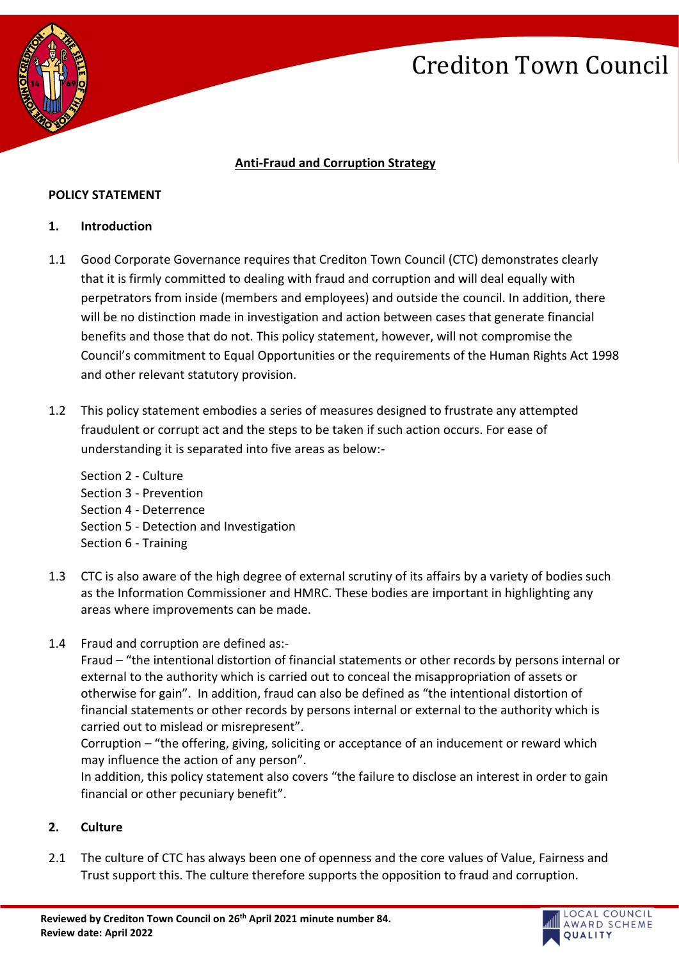

## **Anti-Fraud and Corruption Strategy**

### **POLICY STATEMENT**

### **1. Introduction**

- 1.1 Good Corporate Governance requires that Crediton Town Council (CTC) demonstrates clearly that it is firmly committed to dealing with fraud and corruption and will deal equally with perpetrators from inside (members and employees) and outside the council. In addition, there will be no distinction made in investigation and action between cases that generate financial benefits and those that do not. This policy statement, however, will not compromise the Council's commitment to Equal Opportunities or the requirements of the Human Rights Act 1998 and other relevant statutory provision.
- 1.2 This policy statement embodies a series of measures designed to frustrate any attempted fraudulent or corrupt act and the steps to be taken if such action occurs. For ease of understanding it is separated into five areas as below:-
	- Section 2 Culture Section 3 - Prevention Section 4 - Deterrence Section 5 - Detection and Investigation Section 6 - Training
- 1.3 CTC is also aware of the high degree of external scrutiny of its affairs by a variety of bodies such as the Information Commissioner and HMRC. These bodies are important in highlighting any areas where improvements can be made.
- 1.4 Fraud and corruption are defined as:-

Fraud – "the intentional distortion of financial statements or other records by persons internal or external to the authority which is carried out to conceal the misappropriation of assets or otherwise for gain". In addition, fraud can also be defined as "the intentional distortion of financial statements or other records by persons internal or external to the authority which is carried out to mislead or misrepresent".

Corruption – "the offering, giving, soliciting or acceptance of an inducement or reward which may influence the action of any person".

In addition, this policy statement also covers "the failure to disclose an interest in order to gain financial or other pecuniary benefit".

## **2. Culture**

2.1 The culture of CTC has always been one of openness and the core values of Value, Fairness and Trust support this. The culture therefore supports the opposition to fraud and corruption.

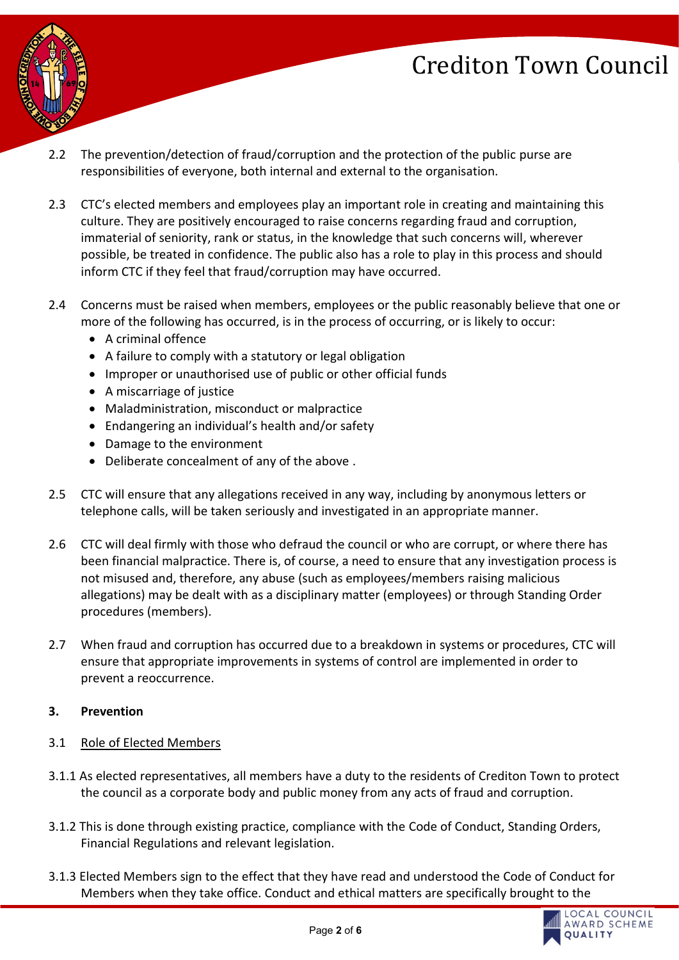

- 2.2 The prevention/detection of fraud/corruption and the protection of the public purse are responsibilities of everyone, both internal and external to the organisation.
- 2.3 CTC's elected members and employees play an important role in creating and maintaining this culture. They are positively encouraged to raise concerns regarding fraud and corruption, immaterial of seniority, rank or status, in the knowledge that such concerns will, wherever possible, be treated in confidence. The public also has a role to play in this process and should inform CTC if they feel that fraud/corruption may have occurred.
- 2.4 Concerns must be raised when members, employees or the public reasonably believe that one or more of the following has occurred, is in the process of occurring, or is likely to occur:
	- A criminal offence
	- A failure to comply with a statutory or legal obligation
	- Improper or unauthorised use of public or other official funds
	- A miscarriage of justice
	- Maladministration, misconduct or malpractice
	- Endangering an individual's health and/or safety
	- Damage to the environment
	- Deliberate concealment of any of the above .
- 2.5 CTC will ensure that any allegations received in any way, including by anonymous letters or telephone calls, will be taken seriously and investigated in an appropriate manner.
- 2.6 CTC will deal firmly with those who defraud the council or who are corrupt, or where there has been financial malpractice. There is, of course, a need to ensure that any investigation process is not misused and, therefore, any abuse (such as employees/members raising malicious allegations) may be dealt with as a disciplinary matter (employees) or through Standing Order procedures (members).
- 2.7 When fraud and corruption has occurred due to a breakdown in systems or procedures, CTC will ensure that appropriate improvements in systems of control are implemented in order to prevent a reoccurrence.

## **3. Prevention**

- 3.1 Role of Elected Members
- 3.1.1 As elected representatives, all members have a duty to the residents of Crediton Town to protect the council as a corporate body and public money from any acts of fraud and corruption.
- 3.1.2 This is done through existing practice, compliance with the Code of Conduct, Standing Orders, Financial Regulations and relevant legislation.
- 3.1.3 Elected Members sign to the effect that they have read and understood the Code of Conduct for Members when they take office. Conduct and ethical matters are specifically brought to the

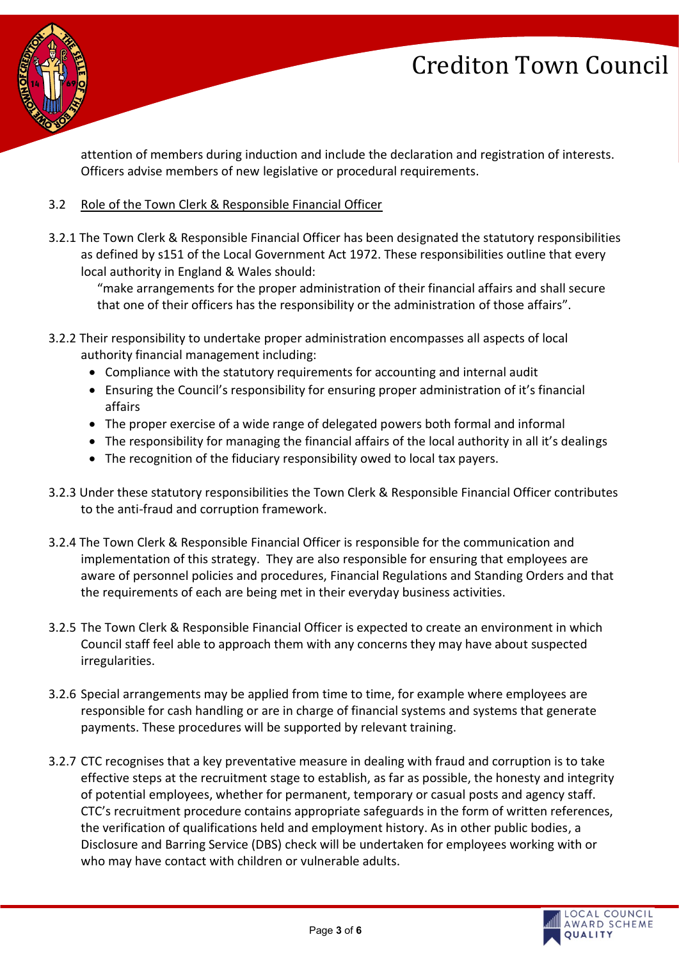

attention of members during induction and include the declaration and registration of interests. Officers advise members of new legislative or procedural requirements.

## 3.2 Role of the Town Clerk & Responsible Financial Officer

3.2.1 The Town Clerk & Responsible Financial Officer has been designated the statutory responsibilities as defined by s151 of the Local Government Act 1972. These responsibilities outline that every local authority in England & Wales should:

"make arrangements for the proper administration of their financial affairs and shall secure that one of their officers has the responsibility or the administration of those affairs".

- 3.2.2 Their responsibility to undertake proper administration encompasses all aspects of local authority financial management including:
	- Compliance with the statutory requirements for accounting and internal audit
	- Ensuring the Council's responsibility for ensuring proper administration of it's financial affairs
	- The proper exercise of a wide range of delegated powers both formal and informal
	- The responsibility for managing the financial affairs of the local authority in all it's dealings
	- The recognition of the fiduciary responsibility owed to local tax payers.
- 3.2.3 Under these statutory responsibilities the Town Clerk & Responsible Financial Officer contributes to the anti-fraud and corruption framework.
- 3.2.4 The Town Clerk & Responsible Financial Officer is responsible for the communication and implementation of this strategy. They are also responsible for ensuring that employees are aware of personnel policies and procedures, Financial Regulations and Standing Orders and that the requirements of each are being met in their everyday business activities.
- 3.2.5 The Town Clerk & Responsible Financial Officer is expected to create an environment in which Council staff feel able to approach them with any concerns they may have about suspected irregularities.
- 3.2.6 Special arrangements may be applied from time to time, for example where employees are responsible for cash handling or are in charge of financial systems and systems that generate payments. These procedures will be supported by relevant training.
- 3.2.7 CTC recognises that a key preventative measure in dealing with fraud and corruption is to take effective steps at the recruitment stage to establish, as far as possible, the honesty and integrity of potential employees, whether for permanent, temporary or casual posts and agency staff. CTC's recruitment procedure contains appropriate safeguards in the form of written references, the verification of qualifications held and employment history. As in other public bodies, a Disclosure and Barring Service (DBS) check will be undertaken for employees working with or who may have contact with children or vulnerable adults.

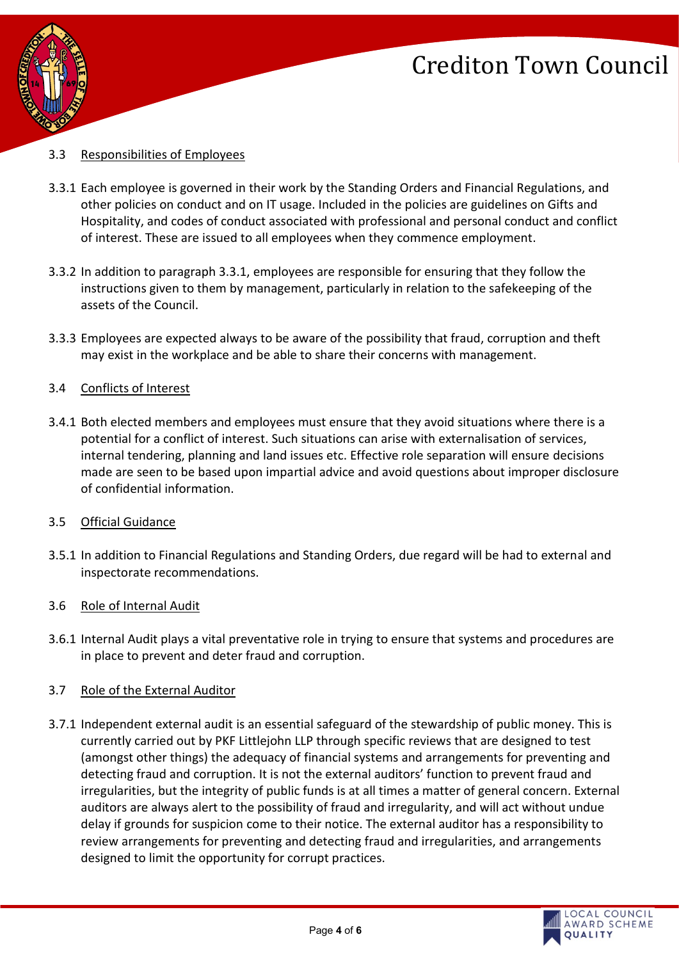



### 3.3 Responsibilities of Employees

- 3.3.1 Each employee is governed in their work by the Standing Orders and Financial Regulations, and other policies on conduct and on IT usage. Included in the policies are guidelines on Gifts and Hospitality, and codes of conduct associated with professional and personal conduct and conflict of interest. These are issued to all employees when they commence employment.
- 3.3.2 In addition to paragraph 3.3.1, employees are responsible for ensuring that they follow the instructions given to them by management, particularly in relation to the safekeeping of the assets of the Council.
- 3.3.3 Employees are expected always to be aware of the possibility that fraud, corruption and theft may exist in the workplace and be able to share their concerns with management.

### 3.4 Conflicts of Interest

- 3.4.1 Both elected members and employees must ensure that they avoid situations where there is a potential for a conflict of interest. Such situations can arise with externalisation of services, internal tendering, planning and land issues etc. Effective role separation will ensure decisions made are seen to be based upon impartial advice and avoid questions about improper disclosure of confidential information.
- 3.5 Official Guidance
- 3.5.1 In addition to Financial Regulations and Standing Orders, due regard will be had to external and inspectorate recommendations.
- 3.6 Role of Internal Audit
- 3.6.1 Internal Audit plays a vital preventative role in trying to ensure that systems and procedures are in place to prevent and deter fraud and corruption.
- 3.7 Role of the External Auditor
- 3.7.1 Independent external audit is an essential safeguard of the stewardship of public money. This is currently carried out by PKF Littlejohn LLP through specific reviews that are designed to test (amongst other things) the adequacy of financial systems and arrangements for preventing and detecting fraud and corruption. It is not the external auditors' function to prevent fraud and irregularities, but the integrity of public funds is at all times a matter of general concern. External auditors are always alert to the possibility of fraud and irregularity, and will act without undue delay if grounds for suspicion come to their notice. The external auditor has a responsibility to review arrangements for preventing and detecting fraud and irregularities, and arrangements designed to limit the opportunity for corrupt practices.

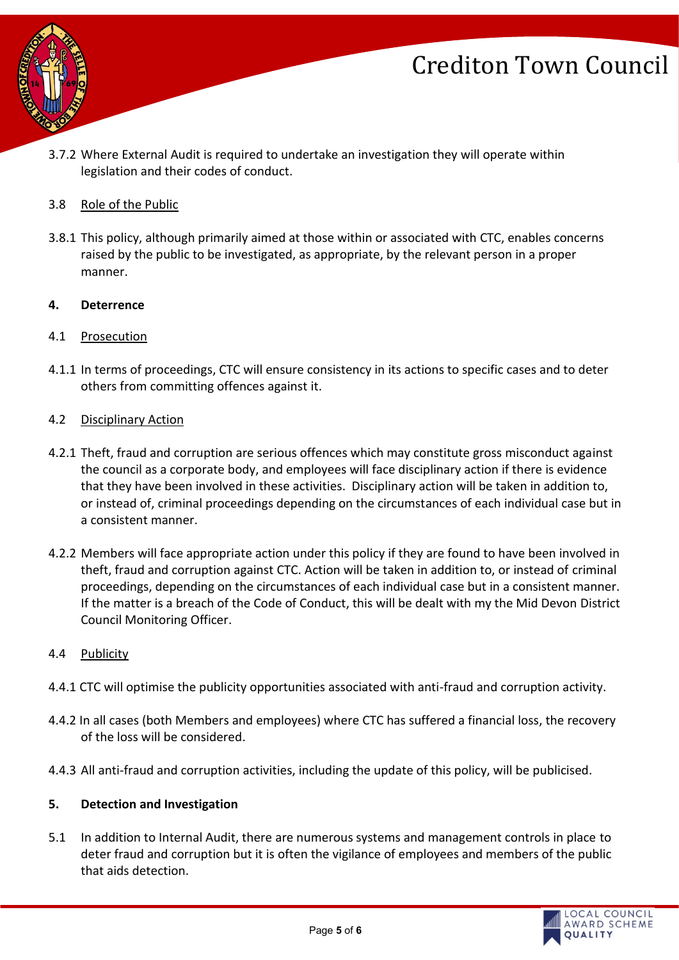

3.7.2 Where External Audit is required to undertake an investigation they will operate within legislation and their codes of conduct.

## 3.8 Role of the Public

3.8.1 This policy, although primarily aimed at those within or associated with CTC, enables concerns raised by the public to be investigated, as appropriate, by the relevant person in a proper manner.

### **4. Deterrence**

### 4.1 Prosecution

4.1.1 In terms of proceedings, CTC will ensure consistency in its actions to specific cases and to deter others from committing offences against it.

### 4.2 Disciplinary Action

- 4.2.1 Theft, fraud and corruption are serious offences which may constitute gross misconduct against the council as a corporate body, and employees will face disciplinary action if there is evidence that they have been involved in these activities. Disciplinary action will be taken in addition to, or instead of, criminal proceedings depending on the circumstances of each individual case but in a consistent manner.
- 4.2.2 Members will face appropriate action under this policy if they are found to have been involved in theft, fraud and corruption against CTC. Action will be taken in addition to, or instead of criminal proceedings, depending on the circumstances of each individual case but in a consistent manner. If the matter is a breach of the Code of Conduct, this will be dealt with my the Mid Devon District Council Monitoring Officer.

### 4.4 Publicity

- 4.4.1 CTC will optimise the publicity opportunities associated with anti-fraud and corruption activity.
- 4.4.2 In all cases (both Members and employees) where CTC has suffered a financial loss, the recovery of the loss will be considered.
- 4.4.3 All anti-fraud and corruption activities, including the update of this policy, will be publicised.

### **5. Detection and Investigation**

5.1 In addition to Internal Audit, there are numerous systems and management controls in place to deter fraud and corruption but it is often the vigilance of employees and members of the public that aids detection.